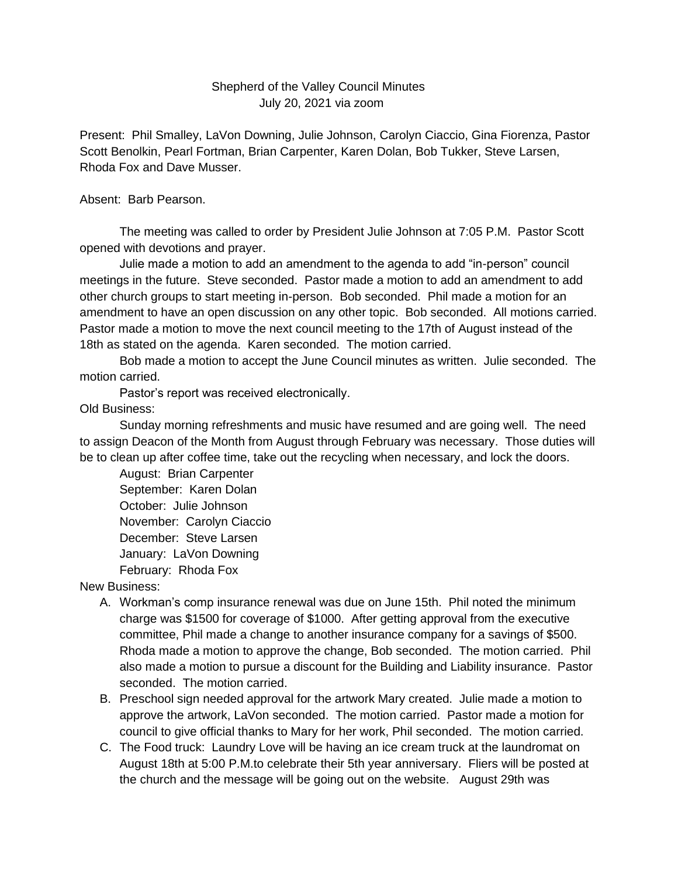## Shepherd of the Valley Council Minutes July 20, 2021 via zoom

Present: Phil Smalley, LaVon Downing, Julie Johnson, Carolyn Ciaccio, Gina Fiorenza, Pastor Scott Benolkin, Pearl Fortman, Brian Carpenter, Karen Dolan, Bob Tukker, Steve Larsen, Rhoda Fox and Dave Musser.

Absent: Barb Pearson.

The meeting was called to order by President Julie Johnson at 7:05 P.M. Pastor Scott opened with devotions and prayer.

Julie made a motion to add an amendment to the agenda to add "in-person" council meetings in the future. Steve seconded. Pastor made a motion to add an amendment to add other church groups to start meeting in-person. Bob seconded. Phil made a motion for an amendment to have an open discussion on any other topic. Bob seconded. All motions carried. Pastor made a motion to move the next council meeting to the 17th of August instead of the 18th as stated on the agenda. Karen seconded. The motion carried.

Bob made a motion to accept the June Council minutes as written. Julie seconded. The motion carried.

Pastor's report was received electronically.

## Old Business:

Sunday morning refreshments and music have resumed and are going well. The need to assign Deacon of the Month from August through February was necessary. Those duties will be to clean up after coffee time, take out the recycling when necessary, and lock the doors.

August: Brian Carpenter September: Karen Dolan October: Julie Johnson November: Carolyn Ciaccio December: Steve Larsen January: LaVon Downing February: Rhoda Fox

New Business:

- A. Workman's comp insurance renewal was due on June 15th. Phil noted the minimum charge was \$1500 for coverage of \$1000. After getting approval from the executive committee, Phil made a change to another insurance company for a savings of \$500. Rhoda made a motion to approve the change, Bob seconded. The motion carried. Phil also made a motion to pursue a discount for the Building and Liability insurance. Pastor seconded. The motion carried.
- B. Preschool sign needed approval for the artwork Mary created. Julie made a motion to approve the artwork, LaVon seconded. The motion carried. Pastor made a motion for council to give official thanks to Mary for her work, Phil seconded. The motion carried.
- C. The Food truck: Laundry Love will be having an ice cream truck at the laundromat on August 18th at 5:00 P.M.to celebrate their 5th year anniversary. Fliers will be posted at the church and the message will be going out on the website. August 29th was